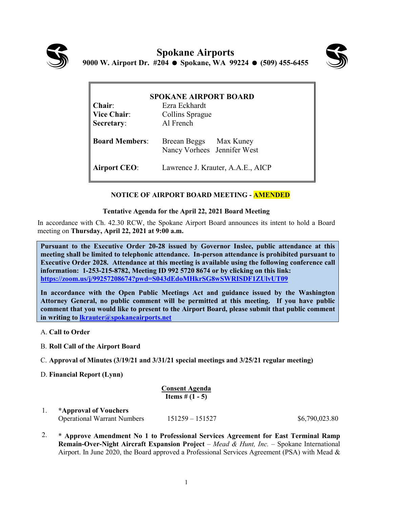



| <b>SPOKANE AIRPORT BOARD</b> |                                                       |  |  |  |
|------------------------------|-------------------------------------------------------|--|--|--|
| Chair:                       | Ezra Eckhardt                                         |  |  |  |
| <b>Vice Chair:</b>           | Collins Sprague                                       |  |  |  |
| Secretary:                   | Al French                                             |  |  |  |
| <b>Board Members:</b>        | Breean Beggs Max Kuney<br>Nancy Vorhees Jennifer West |  |  |  |
| <b>Airport CEO:</b>          | Lawrence J. Krauter, A.A.E., AICP                     |  |  |  |

## **NOTICE OF AIRPORT BOARD MEETING - AMENDED**

## **Tentative Agenda for the April 22, 2021 Board Meeting**

In accordance with Ch. 42.30 RCW, the Spokane Airport Board announces its intent to hold a Board meeting on **Thursday, April 22, 2021 at 9:00 a.m.** 

**Pursuant to the Executive Order 20-28 issued by Governor Inslee, public attendance at this meeting shall be limited to telephonic attendance. In-person attendance is prohibited pursuant to Executive Order 2028. Attendance at this meeting is available using the following conference call information: 1-253-215-8782, Meeting ID 992 5720 8674 or by clicking on this link: <https://zoom.us/j/99257208674?pwd=S043dEdoMHkrSG8wSWRISDF1ZUlvUT09>**

**In accordance with the Open Public Meetings Act and guidance issued by the Washington Attorney General, no public comment will be permitted at this meeting. If you have public comment that you would like to present to the Airport Board, please submit that public comment in writing to [lkrauter@spokaneairports.net](mailto:lkrauter@spokaneairports.net)**

- A. **Call to Order**
- B. **Roll Call of the Airport Board**
- C. **Approval of Minutes (3/19/21 and 3/31/21 special meetings and 3/25/21 regular meeting)**
- D. **Financial Report (Lynn)**

| <b>Consent Agenda</b>    |  |  |
|--------------------------|--|--|
| <b>Items</b> # $(1 - 5)$ |  |  |

1. **\*Approval of Vouchers** Operational Warrant Numbers 151259 – 151527 \$6,790,023.80

2. \* **Approve Amendment No 1 to Professional Services Agreement for East Terminal Ramp Remain-Over-Night Aircraft Expansion Project** – *Mead & Hunt, Inc.* – Spokane International Airport. In June 2020, the Board approved a Professional Services Agreement (PSA) with Mead &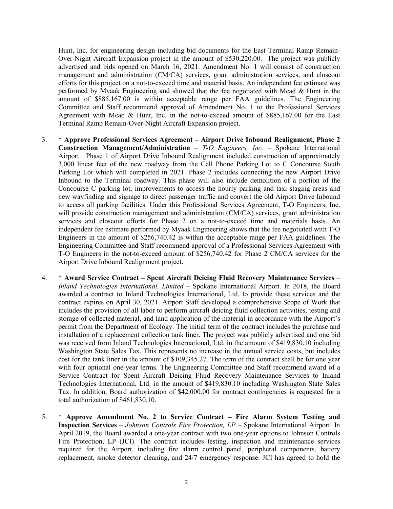Hunt, Inc. for engineering design including bid documents for the East Terminal Ramp Remain-Over-Night Aircraft Expansion project in the amount of \$530,220.00. The project was publicly advertised and bids opened on March 16, 2021. Amendment No. 1 will consist of construction management and administration (CM/CA) services, grant administration services, and closeout efforts for this project on a not-to-exceed time and material basis. An independent fee estimate was performed by Myaak Engineering and showed that the fee negotiated with Mead & Hunt in the amount of \$885,167.00 is within acceptable range per FAA guidelines. The Engineering Committee and Staff recommend approval of Amendment No. 1 to the Professional Services Agreement with Mead & Hunt, Inc. in the not-to-exceed amount of \$885,167.00 for the East Terminal Ramp Remain-Over-Night Aircraft Expansion project.

- 3. \* **Approve Professional Services Agreement – Airport Drive Inbound Realignment, Phase 2 Construction Management/Administration** – *T-O Engineers, Inc.* – Spokane International Airport. Phase 1 of Airport Drive Inbound Realignment included construction of approximately 3,000 linear feet of the new roadway from the Cell Phone Parking Lot to C Concourse South Parking Lot which will completed in 2021. Phase 2 includes connecting the new Airport Drive Inbound to the Terminal roadway. This phase will also include demolition of a portion of the Concourse C parking lot, improvements to access the hourly parking and taxi staging areas and new wayfinding and signage to direct passenger traffic and convert the old Airport Drive Inbound to access all parking facilities. Under this Professional Services Agreement, T-O Engineers, Inc. will provide construction management and administration (CM/CA) services, grant administration services and closeout efforts for Phase 2 on a not-to-exceed time and materials basis. An independent fee estimate performed by Myaak Engineering shows that the fee negotiated with T-O Engineers in the amount of \$256,740.42 is within the acceptable range per FAA guidelines. The Engineering Committee and Staff recommend approval of a Professional Services Agreement with T-O Engineers in the not-to-exceed amount of \$256,740.42 for Phase 2 CM/CA services for the Airport Drive Inbound Realignment project.
- 4. \* **Award Service Contract – Spent Aircraft Deicing Fluid Recovery Maintenance Services** *Inland Technologies International, Limited* – Spokane International Airport. In 2018, the Board awarded a contract to Inland Technologies International, Ltd. to provide these services and the contract expires on April 30, 2021. Airport Staff developed a comprehensive Scope of Work that includes the provision of all labor to perform aircraft deicing fluid collection activities, testing and storage of collected material, and land application of the material in accordance with the Airport's permit from the Department of Ecology. The initial term of the contract includes the purchase and installation of a replacement collection tank liner. The project was publicly advertised and one bid was received from Inland Technologies International, Ltd. in the amount of \$419,830.10 including Washington State Sales Tax. This represents no increase in the annual service costs, but includes cost for the tank liner in the amount of \$109,345.27. The term of the contract shall be for one year with four optional one-year terms. The Engineering Committee and Staff recommend award of a Service Contract for Spent Aircraft Deicing Fluid Recovery Maintenance Services to Inland Technologies International, Ltd. in the amount of \$419,830.10 including Washington State Sales Tax. In addition, Board authorization of \$42,000.00 for contract contingencies is requested for a total authorization of \$461,830.10.
- 5. \* **Approve Amendment No. 2 to Service Contract – Fire Alarm System Testing and Inspection Services** – *Johnson Controls Fire Protection, LP* – Spokane International Airport. In April 2019, the Board awarded a one-year contract with two one-year options to Johnson Controls Fire Protection, LP (JCI). The contract includes testing, inspection and maintenance services required for the Airport, including fire alarm control panel, peripheral components, battery replacement, smoke detector cleaning, and 24/7 emergency response. JCI has agreed to hold the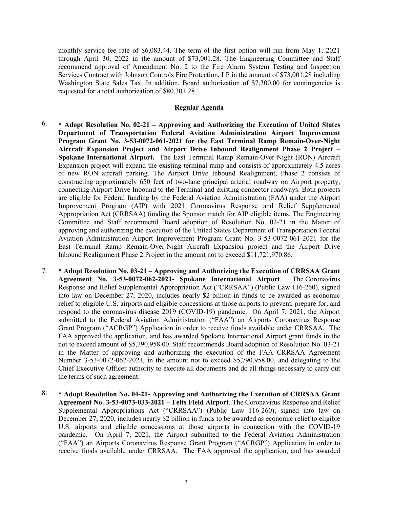monthly service fee rate of \$6,083.44. The term of the first option will run from May 1, 2021 through April 30, 2022 in the amount of \$73,001.28. The Engineering Committee and Staff recommend approval of Amendment No. 2 to the Fire Alarm System Testing and Inspection Services Contract with Johnson Controls Fire Protection, LP in the amount of \$73,001.28 including Washington State Sales Tax. In addition, Board authorization of \$7,300.00 for contingencies is requested for a total authorization of \$80,301.28.

## **Regular Agenda**

- 6. **\* Adopt Resolution No. 02-21 – Approving and Authorizing the Execution of United States Department of Transportation Federal Aviation Administration Airport Improvement Program Grant No. 3-53-0072-061-2021 for the East Terminal Ramp Remain-Over-Night Aircraft Expansion Project and Airport Drive Inbound Realignment Phase 2 Project – Spokane International Airport.** The East Terminal Ramp Remain-Over-Night (RON) Aircraft Expansion project will expand the existing terminal ramp and consists of approximately 4.5 acres of new RON aircraft parking. The Airport Drive Inbound Realignment, Phase 2 consists of constructing approximately 650 feet of two-lane principal arterial roadway on Airport property, connecting Airport Drive Inbound to the Terminal and existing connector roadways. Both projects are eligible for Federal funding by the Federal Aviation Administration (FAA) under the Airport Improvement Program (AIP) with 2021 Coronavirus Response and Relief Supplemental Appropriation Act (CRRSAA) funding the Sponsor match for AIP eligible items. The Engineering Committee and Staff recommend Board adoption of Resolution No. 02-21 in the Matter of approving and authorizing the execution of the United States Department of Transportation Federal Aviation Administration Airport Improvement Program Grant No. 3-53-0072-061-2021 for the East Terminal Ramp Remain-Over-Night Aircraft Expansion project and the Airport Drive Inbound Realignment Phase 2 Project in the amount not to exceed \$11,721,970.86.
- 7. **\* Adopt Resolution No. 03-21 – Approving and Authorizing the Execution of CRRSAA Grant Agreement No. 3-53-0072-062-2021- Spokane International Airport**. The Coronavirus Response and Relief Supplemental Appropriation Act ("CRRSAA") (Public Law 116-260), signed into law on December 27, 2020, includes nearly \$2 billion in funds to be awarded as economic relief to eligible U.S. airports and eligible concessions at those airports to prevent, prepare for, and respond to the coronavirus disease 2019 (COVID-19) pandemic. On April 7, 2021, the Airport submitted to the Federal Aviation Administration ("FAA") an Airports Coronavirus Response Grant Program ("ACRGP") Application in order to receive funds available under CRRSAA. The FAA approved the application, and has awarded Spokane International Airport grant funds in the not to exceed amount of \$5,790,958.00. Staff recommends Board adoption of Resolution No. 03-21 in the Matter of approving and authorizing the execution of the FAA CRRSAA Agreement Number 3-53-0072-062-2021, in the amount not to exceed \$5,790,958.00, and delegating to the Chief Executive Officer authority to execute all documents and do all things necessary to carry out the terms of such agreement.
- 8. **\* Adopt Resolution No. 04-21- Approving and Authorizing the Execution of CRRSAA Grant Agreement No. 3-53-0073-033-2021 – Felts Field Airport**. The Coronavirus Response and Relief Supplemental Appropriations Act ("CRRSAA") (Public Law 116-260), signed into law on December 27, 2020, includes nearly \$2 billion in funds to be awarded as economic relief to eligible U.S. airports and eligible concessions at those airports in connection with the COVID-19 pandemic. On April 7, 2021, the Airport submitted to the Federal Aviation Administration ("FAA") an Airports Coronavirus Response Grant Program ("ACRGP") Application in order to receive funds available under CRRSAA. The FAA approved the application, and has awarded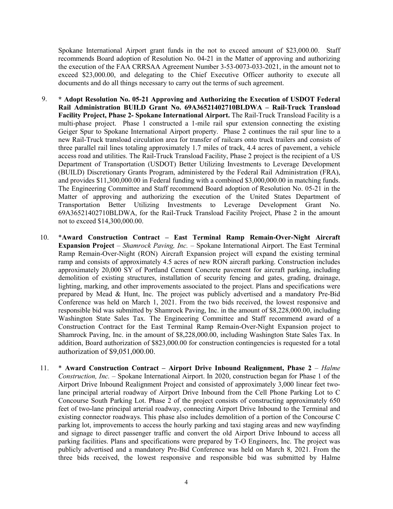Spokane International Airport grant funds in the not to exceed amount of \$23,000.00. Staff recommends Board adoption of Resolution No. 04-21 in the Matter of approving and authorizing the execution of the FAA CRRSAA Agreement Number 3-53-0073-033-2021, in the amount not to exceed \$23,000.00, and delegating to the Chief Executive Officer authority to execute all documents and do all things necessary to carry out the terms of such agreement.

- 9. **\* Adopt Resolution No. 05-21 Approving and Authorizing the Execution of USDOT Federal Rail Administration BUILD Grant No. 69A36521402710BLDWA – Rail-Truck Transload Facility Project, Phase 2- Spokane International Airport.** The Rail-Truck Transload Facility is a multi-phase project. Phase 1 constructed a 1-mile rail spur extension connecting the existing Geiger Spur to Spokane International Airport property. Phase 2 continues the rail spur line to a new Rail-Truck transload circulation area for transfer of railcars onto truck trailers and consists of three parallel rail lines totaling approximately 1.7 miles of track, 4.4 acres of pavement, a vehicle access road and utilities. The Rail-Truck Transload Facility, Phase 2 project is the recipient of a US Department of Transportation (USDOT) Better Utilizing Investments to Leverage Development (BUILD) Discretionary Grants Program, administered by the Federal Rail Administration (FRA), and provides \$11,300,000.00 in Federal funding with a combined \$3,000,000.00 in matching funds. The Engineering Committee and Staff recommend Board adoption of Resolution No. 05-21 in the Matter of approving and authorizing the execution of the United States Department of Transportation Better Utilizing Investments to Leverage Development Grant No. 69A36521402710BLDWA, for the Rail-Truck Transload Facility Project, Phase 2 in the amount not to exceed \$14,300,000.00.
- 10. \***Award Construction Contract – East Terminal Ramp Remain-Over-Night Aircraft Expansion Project** – *Shamrock Paving, Inc.* – Spokane International Airport. The East Terminal Ramp Remain-Over-Night (RON) Aircraft Expansion project will expand the existing terminal ramp and consists of approximately 4.5 acres of new RON aircraft parking. Construction includes approximately 20,000 SY of Portland Cement Concrete pavement for aircraft parking, including demolition of existing structures, installation of security fencing and gates, grading, drainage, lighting, marking, and other improvements associated to the project. Plans and specifications were prepared by Mead & Hunt, Inc. The project was publicly advertised and a mandatory Pre-Bid Conference was held on March 1, 2021. From the two bids received, the lowest responsive and responsible bid was submitted by Shamrock Paving, Inc. in the amount of \$8,228,000.00, including Washington State Sales Tax. The Engineering Committee and Staff recommend award of a Construction Contract for the East Terminal Ramp Remain-Over-Night Expansion project to Shamrock Paving, Inc. in the amount of \$8,228,000.00, including Washington State Sales Tax. In addition, Board authorization of \$823,000.00 for construction contingencies is requested for a total authorization of \$9,051,000.00.
- 11. \* **Award Construction Contract – Airport Drive Inbound Realignment, Phase 2** *Halme Construction, Inc.* – Spokane International Airport. In 2020, construction began for Phase 1 of the Airport Drive Inbound Realignment Project and consisted of approximately 3,000 linear feet twolane principal arterial roadway of Airport Drive Inbound from the Cell Phone Parking Lot to C Concourse South Parking Lot. Phase 2 of the project consists of constructing approximately 650 feet of two-lane principal arterial roadway, connecting Airport Drive Inbound to the Terminal and existing connector roadways. This phase also includes demolition of a portion of the Concourse C parking lot, improvements to access the hourly parking and taxi staging areas and new wayfinding and signage to direct passenger traffic and convert the old Airport Drive Inbound to access all parking facilities. Plans and specifications were prepared by T-O Engineers, Inc. The project was publicly advertised and a mandatory Pre-Bid Conference was held on March 8, 2021. From the three bids received, the lowest responsive and responsible bid was submitted by Halme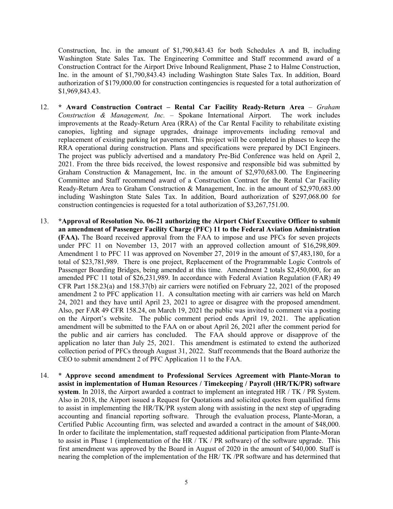Construction, Inc. in the amount of \$1,790,843.43 for both Schedules A and B, including Washington State Sales Tax. The Engineering Committee and Staff recommend award of a Construction Contract for the Airport Drive Inbound Realignment, Phase 2 to Halme Construction, Inc. in the amount of \$1,790,843.43 including Washington State Sales Tax. In addition, Board authorization of \$179,000.00 for construction contingencies is requested for a total authorization of \$1,969,843.43.

- 12. **\* Award Construction Contract – Rental Car Facility Ready-Return Area** *– Graham Construction & Management, Inc.* – Spokane International Airport. The work includes improvements at the Ready-Return Area (RRA) of the Car Rental Facility to rehabilitate existing canopies, lighting and signage upgrades, drainage improvements including removal and replacement of existing parking lot pavement. This project will be completed in phases to keep the RRA operational during construction. Plans and specifications were prepared by DCI Engineers. The project was publicly advertised and a mandatory Pre-Bid Conference was held on April 2, 2021. From the three bids received, the lowest responsive and responsible bid was submitted by Graham Construction & Management, Inc. in the amount of \$2,970,683.00. The Engineering Committee and Staff recommend award of a Construction Contract for the Rental Car Facility Ready-Return Area to Graham Construction & Management, Inc. in the amount of \$2,970,683.00 including Washington State Sales Tax. In addition, Board authorization of \$297,068.00 for construction contingencies is requested for a total authorization of \$3,267,751.00.
- 13. **\*Approval of Resolution No. 06-21 authorizing the Airport Chief Executive Officer to submit an amendment of Passenger Facility Charge (PFC) 11 to the Federal Aviation Administration (FAA).** The Board received approval from the FAA to impose and use PFCs for seven projects under PFC 11 on November 13, 2017 with an approved collection amount of \$16,298,809. Amendment 1 to PFC 11 was approved on November 27, 2019 in the amount of \$7,483,180, for a total of \$23,781,989. There is one project, Replacement of the Programmable Logic Controls of Passenger Boarding Bridges, being amended at this time. Amendment 2 totals \$2,450,000, for an amended PFC 11 total of \$26,231,989. In accordance with Federal Aviation Regulation (FAR) 49 CFR Part 158.23(a) and 158.37(b) air carriers were notified on February 22, 2021 of the proposed amendment 2 to PFC application 11. A consultation meeting with air carriers was held on March 24, 2021 and they have until April 23, 2021 to agree or disagree with the proposed amendment. Also, per FAR 49 CFR 158.24, on March 19, 2021 the public was invited to comment via a posting on the Airport's website. The public comment period ends April 19, 2021. The application amendment will be submitted to the FAA on or about April 26, 2021 after the comment period for the public and air carriers has concluded. The FAA should approve or disapprove of the application no later than July 25, 2021. This amendment is estimated to extend the authorized collection period of PFCs through August 31, 2022. Staff recommends that the Board authorize the CEO to submit amendment 2 of PFC Application 11 to the FAA.
- 14. \* **Approve second amendment to Professional Services Agreement with Plante-Moran to assist in implementation of Human Resources / Timekeeping / Payroll (HR/TK/PR) software system**. In 2018, the Airport awarded a contract to implement an integrated HR / TK / PR System. Also in 2018, the Airport issued a Request for Quotations and solicited quotes from qualified firms to assist in implementing the HR/TK/PR system along with assisting in the next step of upgrading accounting and financial reporting software. Through the evaluation process, Plante-Moran, a Certified Public Accounting firm, was selected and awarded a contract in the amount of \$48,000. In order to facilitate the implementation, staff requested additional participation from Plante-Moran to assist in Phase 1 (implementation of the HR / TK / PR software) of the software upgrade. This first amendment was approved by the Board in August of 2020 in the amount of \$40,000. Staff is nearing the completion of the implementation of the HR/ TK /PR software and has determined that